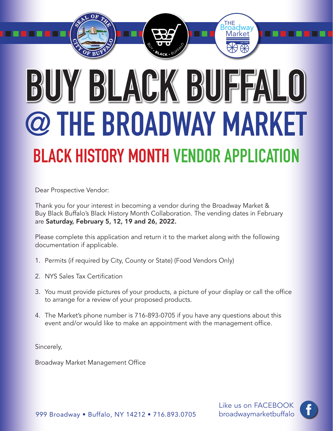# **BUY BLACK BUFFALO @ THE BROADWAY MARKET BLACK HISTORY MONTH VENDOR APPLICATION**

Market THE<br>Broadway

*est.1888*

┎

. . . .

Dear Prospective Vendor:

Thank you for your interest in becoming a vendor during the Broadway Market & Buy Black Buffalo's Black History Month Collaboration. The vending dates in February are Saturday, February 5, 12, 19 and 26, 2022.

Please complete this application and return it to the market along with the following documentation if applicable.

- 1. Permits (if required by City, County or State) (Food Vendors Only)
- 2. NYS Sales Tax Certification
- 3. You must provide pictures of your products, a picture of your display or call the office to arrange for a review of your proposed products.
- 4. The Market's phone number is 716-893-0705 if you have any questions about this event and/or would like to make an appointment with the management office.

Sincerely,

Broadway Market Management Office

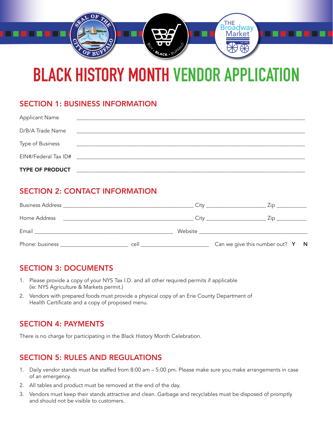

### **BLACK HISTORY MONTH VENDOR APPLICATION**

#### SECTION 1: BUSINESS INFORMATION

| <b>TYPE OF PRODUCT</b> |                                                                                                                       |  |
|------------------------|-----------------------------------------------------------------------------------------------------------------------|--|
| EIN#/Federal Tax ID#   | <u> 1980 - Jan Sarajević, politički politički politički kalendar i politički kalendar i politički kalendar i po</u>   |  |
| Type of Business       | <u> 1990 - Johann Stoff, deutscher Stoff, der Stoff, der Stoff, der Stoff, der Stoff, der Stoff, der Stoff, der S</u> |  |
| D/B/A Trade Name       | <u> 1980 - Johann Johann Stoff, deutscher Stoffen und der Stoffen und der Stoffen und der Stoffen und der Stoffen</u> |  |
| <b>Applicant Name</b>  |                                                                                                                       |  |

#### SECTION 2: CONTACT INFORMATION

| <b>Business Address</b> |      | Citv    | ∠ın.                                    |  |
|-------------------------|------|---------|-----------------------------------------|--|
| Home Address            |      | City    | ∠ıp                                     |  |
| Email                   |      | Website |                                         |  |
| Phone: business         | cell |         | Can we give this number out? $Y \cap N$ |  |

#### SECTION 3: DOCUMENTS

- 1. Please provide a copy of your NYS Tax I.D. and all other required permits if applicable (ie: NYS Agriculture & Markets permit.)
- 2. Vendors with prepared foods must provide a physical copy of an Erie County Department of Health Certificate and a copy of proposed menu.

#### SECTION 4: PAYMENTS

There is no charge for participating in the Black History Month Celebration.

#### SECTION 5: RULES AND REGULATIONS

- 1. Daily vendor stands must be staffed from 8:00 am 5:00 pm. Please make sure you make arrangements in case of an emergency.
- 2. All tables and product must be removed at the end of the day.
- 3. Vendors must keep their stands attractive and clean. Garbage and recyclables must be disposed of promptly and should not be visible to customers.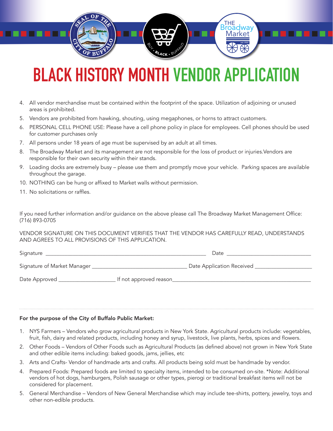## **BLACK HISTORY MONTH VENDOR APPLICATION**

Market THE<br>Broadway

*est.1888*

. . . . . . . . .

- 4. All vendor merchandise must be contained within the footprint of the space. Utilization of adjoining or unused areas is prohibited.
- 5. Vendors are prohibited from hawking, shouting, using megaphones, or horns to attract customers.
- 6. PERSONAL CELL PHONE USE: Please have a cell phone policy in place for employees. Cell phones should be used for customer purchases only
- 7. All persons under 18 years of age must be supervised by an adult at all times.
- 8. The Broadway Market and its management are not responsible for the loss of product or injuries.Vendors are responsible for their own security within their stands.
- 9. Loading docks are extremely busy please use them and promptly move your vehicle. Parking spaces are available throughout the garage.
- 10. NOTHING can be hung or affixed to Market walls without permission.
- 11. No solicitations or raffles.

. . . .

If you need further information and/or guidance on the above please call The Broadway Market Management Office: (716) 893-0705

VENDOR SIGNATURE ON THIS DOCUMENT VERIFIES THAT THE VENDOR HAS CAREFULLY READ, UNDERSTANDS AND AGREES TO ALL PROVISIONS OF THIS APPLICATION.

Signature \_\_\_\_\_\_\_\_\_\_\_\_\_\_\_\_\_\_\_\_\_\_\_\_\_\_\_\_\_\_\_\_\_\_\_\_\_\_\_\_\_\_\_\_\_\_\_\_\_\_\_\_\_\_\_\_\_\_\_ Date \_\_\_\_\_\_\_\_\_\_\_\_\_\_\_\_\_\_\_\_\_\_\_\_\_\_\_\_\_\_\_

Signature of Market Manager \_\_\_\_\_\_\_\_\_\_\_\_\_\_\_\_\_\_\_\_\_\_\_\_\_\_\_\_\_\_\_\_\_\_\_ Date Application Received \_\_\_\_\_\_\_\_\_\_\_\_\_\_\_\_\_\_\_\_\_

Date Approved \_\_\_\_\_\_\_\_\_\_\_\_\_\_\_\_\_\_\_\_\_ If not approved reason\_\_\_\_\_\_\_\_\_\_\_\_\_\_\_\_\_\_\_\_\_\_\_\_\_\_\_\_\_\_\_\_\_\_\_\_\_\_\_\_\_\_\_\_\_\_\_\_\_\_\_

#### For the purpose of the City of Buffalo Public Market:

- 1. NYS Farmers Vendors who grow agricultural products in New York State. Agricultural products include: vegetables, fruit, fish, dairy and related products, including honey and syrup, livestock, live plants, herbs, spices and flowers.
- 2. Other Foods Vendors of Other Foods such as Agricultural Products (as defined above) not grown in New York State and other edible items including: baked goods, jams, jellies, etc
- 3. Arts and Crafts- Vendor of handmade arts and crafts. All products being sold must be handmade by vendor.
- 4. Prepared Foods: Prepared foods are limited to specialty items, intended to be consumed on-site. \*Note: Additional vendors of hot dogs, hamburgers, Polish sausage or other types, pierogi or traditional breakfast items will not be considered for placement.
- 5. General Merchandise Vendors of New General Merchandise which may include tee-shirts, pottery, jewelry, toys and other non-edible products.